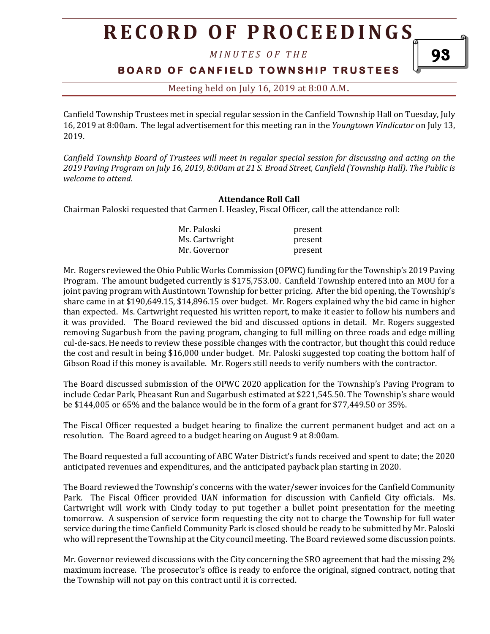# **R E C O R D O F P R O C E E D I N GS**

*M I N U T E S O F T H E* 

### **BOARD OF CANFIELD TOWNSHIP TRUSTEES**

Meeting held on July 16, 2019 at 8:00 A.M**.**

Canfield Township Trustees met in special regular session in the Canfield Township Hall on Tuesday, July 16, 2019 at 8:00am. The legal advertisement for this meeting ran in the *Youngtown Vindicator* on July 13, 2019.

*Canfield Township Board of Trustees will meet in regular special session for discussing and acting on the 2019 Paving Program on July 16, 2019, 8:00am at 21 S. Broad Street, Canfield (Township Hall). The Public is welcome to attend.*

#### **Attendance Roll Call**

Chairman Paloski requested that Carmen I. Heasley, Fiscal Officer, call the attendance roll:

| Mr. Paloski    | present |
|----------------|---------|
| Ms. Cartwright | present |
| Mr. Governor   | present |

Mr. Rogers reviewed the Ohio Public Works Commission (OPWC) funding for the Township's 2019 Paving Program. The amount budgeted currently is \$175,753.00. Canfield Township entered into an MOU for a joint paving program with Austintown Township for better pricing. After the bid opening, the Township's share came in at \$190,649.15, \$14,896.15 over budget. Mr. Rogers explained why the bid came in higher than expected. Ms. Cartwright requested his written report, to make it easier to follow his numbers and it was provided. The Board reviewed the bid and discussed options in detail. Mr. Rogers suggested removing Sugarbush from the paving program, changing to full milling on three roads and edge milling cul-de-sacs. He needs to review these possible changes with the contractor, but thought this could reduce the cost and result in being \$16,000 under budget. Mr. Paloski suggested top coating the bottom half of Gibson Road if this money is available. Mr. Rogers still needs to verify numbers with the contractor.

The Board discussed submission of the OPWC 2020 application for the Township's Paving Program to include Cedar Park, Pheasant Run and Sugarbush estimated at \$221,545.50. The Township's share would be \$144,005 or 65% and the balance would be in the form of a grant for \$77,449.50 or 35%.

The Fiscal Officer requested a budget hearing to finalize the current permanent budget and act on a resolution. The Board agreed to a budget hearing on August 9 at 8:00am.

The Board requested a full accounting of ABC Water District's funds received and spent to date; the 2020 anticipated revenues and expenditures, and the anticipated payback plan starting in 2020.

The Board reviewed the Township's concerns with the water/sewer invoices for the Canfield Community Park. The Fiscal Officer provided UAN information for discussion with Canfield City officials. Ms. Cartwright will work with Cindy today to put together a bullet point presentation for the meeting tomorrow. A suspension of service form requesting the city not to charge the Township for full water service during the time Canfield Community Park is closed should be ready to be submitted by Mr. Paloski who will represent the Township at the City council meeting. The Board reviewed some discussion points.

Mr. Governor reviewed discussions with the City concerning the SRO agreement that had the missing 2% maximum increase. The prosecutor's office is ready to enforce the original, signed contract, noting that the Township will not pay on this contract until it is corrected.

93